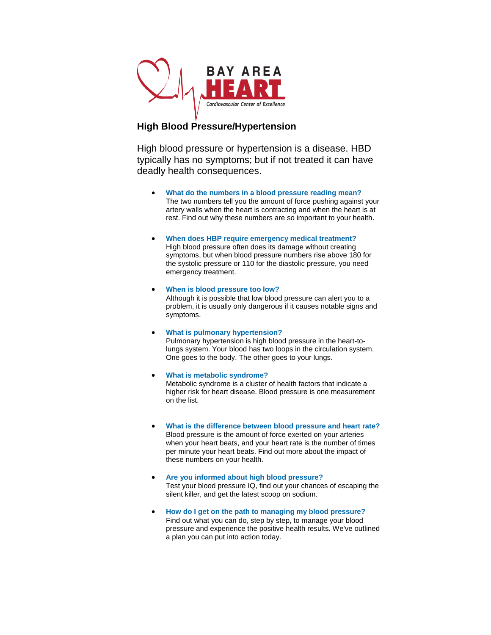

## **High Blood Pressure/Hypertension**

High blood pressure or hypertension is a disease. HBD typically has no symptoms; but if not treated it can have deadly health consequences.

- **[What do the numbers in a blood pressure reading mean?](http://www.heart.org/HEARTORG/Conditions/HighBloodPressure/AboutHighBloodPressure/Understanding-Blood-Pressure-Readings_UCM_301764_Article.jsp)** The two numbers tell you the amount of force pushing against your artery walls when the heart is contracting and when the heart is at rest. Find out why these numbers are so important to your health.
- **[When does HBP require emergency medical treatment?](http://www.heart.org/HEARTORG/Conditions/HighBloodPressure/AboutHighBloodPressure/Hypertensive-Crisis_UCM_301782_Article.jsp)** High blood pressure often does its damage without creating symptoms, but when blood pressure numbers rise above 180 for the systolic pressure or 110 for the diastolic pressure, you need emergency treatment.
- **[When is blood pressure too low?](http://www.heart.org/HEARTORG/Conditions/HighBloodPressure/AboutHighBloodPressure/Low-Blood-Pressure_UCM_301785_Article.jsp)** Although it is possible that low blood pressure can alert you to a problem, it is usually only dangerous if it causes notable signs and symptoms.
- **[What is pulmonary hypertension?](http://www.heart.org/HEARTORG/Conditions/HighBloodPressure/AboutHighBloodPressure/What-is-Pulmonary-Hypertension_UCM_301792_Article.jsp)** Pulmonary hypertension is high blood pressure in the heart-tolungs system. Your blood has two loops in the circulation system. One goes to the body. The other goes to your lungs.
- **[What is metabolic syndrome?](http://www.heart.org/HEARTORG/Conditions/HighBloodPressure/AboutHighBloodPressure/High-Blood-Pressure-and-Metabolic-Syndrome_UCM_301801_Article.jsp)** Metabolic syndrome is a cluster of health factors that indicate a higher risk for heart disease. Blood pressure is one measurement on the list.
- **[What is the difference between blood pressure and heart rate?](http://www.heart.org/HEARTORG/Conditions/HighBloodPressure/AboutHighBloodPressure/Blood-Pressure-vs-Heart-Rate_UCM_301804_Article.jsp)** Blood pressure is the amount of force exerted on your arteries when your heart beats, and your heart rate is the number of times per minute your heart beats. Find out more about the impact of these numbers on your health.
- **[Are you informed about high blood pressure?](http://www.heart.org/HEARTORG/Conditions/HighBloodPressure/AboutHighBloodPressure/Blood-Pressure-Quizzes_UCM_301805_Article.jsp)** Test your blood pressure IQ, find out your chances of escaping the silent killer, and get the latest scoop on sodium.
- **[How do I get on the path to managing my blood pressure?](http://www.heart.org/HEARTORG/Conditions/HighBloodPressure/AboutHighBloodPressure/Your-Path-to-Healthy-Blood-Pressure_UCM_301806_Article.jsp)** Find out what you can do, step by step, to manage your blood pressure and experience the positive health results. We've outlined a plan you can put into action today.